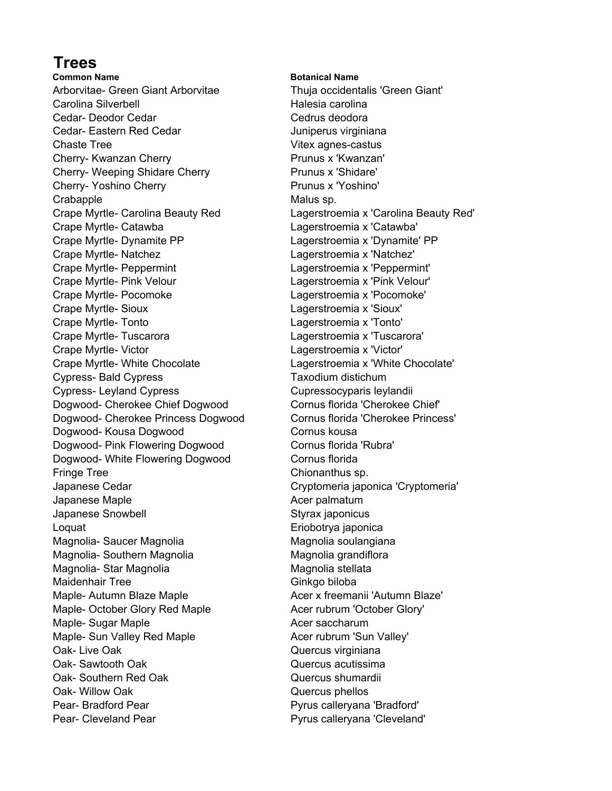## **Trees**

**Common Name Botanical Name** Arborvitae- Green Giant Arborvitae Thuja occidentalis 'Green Giant' Carolina Silverbell **Exercise Carolina** Halesia carolina Cedar- Deodor Cedar Cedrus deodora Cedar- Eastern Red Cedar **Juniperus** virginiana Chaste Tree Vitex agnes-castus Cherry- Kwanzan Cherry **Prunus x 'Kwanzan'** Cherry- Weeping Shidare Cherry **Prunus x** 'Shidare' Cherry- Yoshino Cherry **Prunus x 'Yoshino'** Crabapple **Malus** sp. Crape Myrtle- Carolina Beauty Red Lagerstroemia x 'Carolina Beauty Red' Crape Myrtle- Catawba Lagerstroemia x 'Catawba' Crape Myrtle- Dynamite PP Lagerstroemia x 'Dynamite' PP Crape Myrtle- Natchez Lagerstroemia x 'Natchez' Crape Myrtle- Peppermint Lagerstroemia x 'Peppermint' Crape Myrtle- Pink Velour Lagerstroemia x 'Pink Velour' Crape Myrtle- Pocomoke Lagerstroemia x 'Pocomoke' Crape Myrtle- Sioux Lagerstroemia x 'Sioux' Crape Myrtle- Tonto Lagerstroemia x 'Tonto' Crape Myrtle- Tuscarora Lagerstroemia x 'Tuscarora' Crape Myrtle- Victor Lagerstroemia x 'Victor' Crape Myrtle- White Chocolate Lagerstroemia x 'White Chocolate' Cypress- Bald Cypress Taxodium distichum Cypress- Leyland Cypress Cupressocyparis leylandii Dogwood- Cherokee Chief Dogwood Cornus florida 'Cherokee Chief' Dogwood- Cherokee Princess Dogwood Cornus florida 'Cherokee Princess' Dogwood- Kousa Dogwood Cornus kousa Dogwood- Pink Flowering Dogwood Cornus florida 'Rubra' Dogwood- White Flowering Dogwood Cornus florida Fringe Tree Chionanthus sp. Japanese Cedar Cryptomeria japonica 'Cryptomeria' Japanese Maple **Acer palmatum** Japanese Snowbell **Styrax** japonicus Loquat **Exercise Exercise Entrane Entrane Entrane Entrane Entrane Entrane Entrane Entrane Entrane Entrane Entrane Entrane Entrane Entrane Entrane Entrane Entrane Entrane Entrane Entrane Entrane Entrane Entrane Entrane Entr** Magnolia- Saucer Magnolia Magnolia Magnolia soulangiana Magnolia- Southern Magnolia Magnolia Magnolia grandiflora Magnolia- Star Magnolia Magnolia stellata Maidenhair Tree Ginkgo biloba Maple- Autumn Blaze Maple **Acer x freemanii 'Autumn Blaze'** Maple- October Glory Red Maple **Acer rubrum 'October Glory'** Maple- Sugar Maple **Acer saccharum** Maple- Sun Valley Red Maple **Acer rubrum 'Sun Valley'** Acer rubrum 'Sun Valley' Oak- Live Oak **Quercus** virginiana Oak- Sawtooth Oak **Quercus** acutissima Oak- Southern Red Oak **Quercus shumardii** Oak- Willow Oak **Quercus** phellos Pear- Bradford Pear **Property** Pyrus calleryana 'Bradford'

Pear- Cleveland Pear **Pyrus calleryana 'Cleveland'**